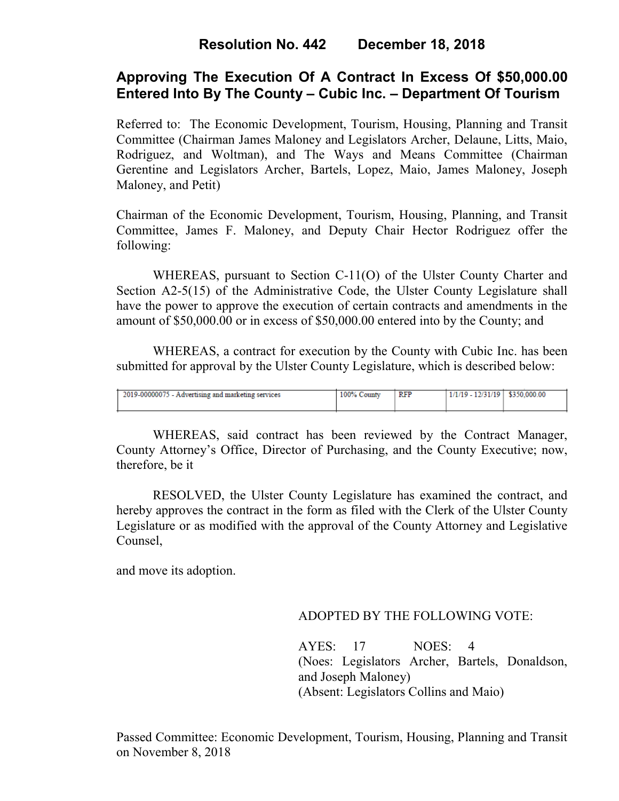# **Approving The Execution Of A Contract In Excess Of \$50,000.00 Entered Into By The County – Cubic Inc. – Department Of Tourism**

Referred to: The Economic Development, Tourism, Housing, Planning and Transit Committee (Chairman James Maloney and Legislators Archer, Delaune, Litts, Maio, Rodriguez, and Woltman), and The Ways and Means Committee (Chairman Gerentine and Legislators Archer, Bartels, Lopez, Maio, James Maloney, Joseph Maloney, and Petit)

Chairman of the Economic Development, Tourism, Housing, Planning, and Transit Committee, James F. Maloney, and Deputy Chair Hector Rodriguez offer the following:

WHEREAS, pursuant to Section C-11(O) of the Ulster County Charter and Section A2-5(15) of the Administrative Code, the Ulster County Legislature shall have the power to approve the execution of certain contracts and amendments in the amount of \$50,000.00 or in excess of \$50,000.00 entered into by the County; and

WHEREAS, a contract for execution by the County with Cubic Inc. has been submitted for approval by the Ulster County Legislature, which is described below:

| 2019-00000075 - Advertising and marketing services | 100%<br>County | RFP | 1/1/19 - 12/31/19 | \$350,000.00 |
|----------------------------------------------------|----------------|-----|-------------------|--------------|
|                                                    |                |     |                   |              |

WHEREAS, said contract has been reviewed by the Contract Manager, County Attorney's Office, Director of Purchasing, and the County Executive; now, therefore, be it

RESOLVED, the Ulster County Legislature has examined the contract, and hereby approves the contract in the form as filed with the Clerk of the Ulster County Legislature or as modified with the approval of the County Attorney and Legislative Counsel,

and move its adoption.

#### ADOPTED BY THE FOLLOWING VOTE:

AYES: 17 NOES: 4 (Noes: Legislators Archer, Bartels, Donaldson, and Joseph Maloney) (Absent: Legislators Collins and Maio)

Passed Committee: Economic Development, Tourism, Housing, Planning and Transit on November 8, 2018